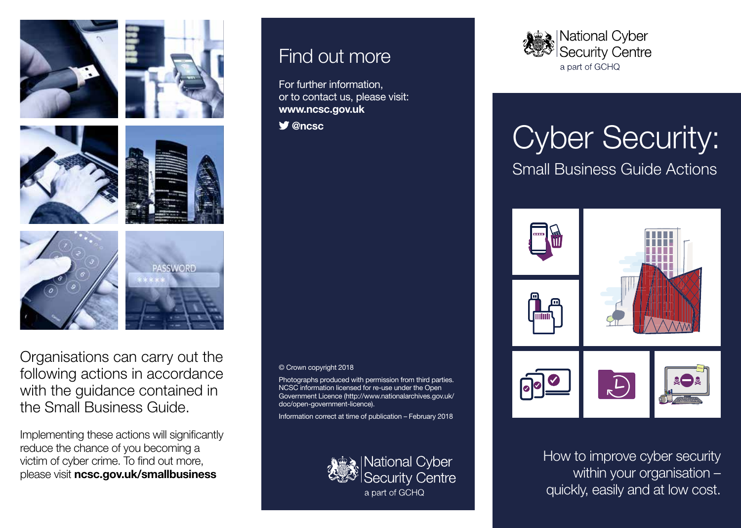









Organisations can carry out the following actions in accordance with the guidance contained in the Small Business Guide.

Implementing these actions will significantly reduce the chance of you becoming a victim of cyber crime. To find out more, please visit **ncsc.gov.uk/smallbusiness**

#### Find out more

For further information, or to contact us, please visit: **www.ncsc.gov.uk**

 **@ncsc**

© Crown copyright 2018

Photographs produced with permission from third parties. NCSC information licensed for re-use under the Open Government Licence (http://www.nationalarchives.gov.uk/ doc/open-government-licence).

Information correct at time of publication – February 2018



**National Cyber Security Centre** a part of GCHQ



# Cyber Security: Small Business Guide Actions



How to improve cyber security within your organisation – quickly, easily and at low cost.